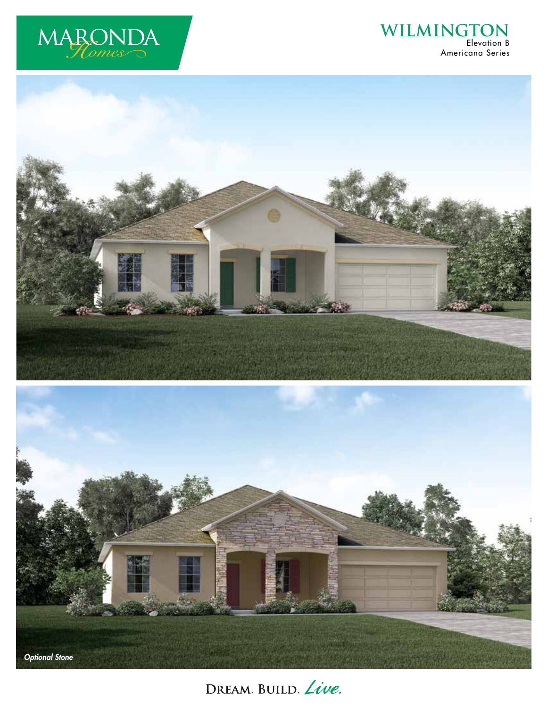

## **WILMINGTON** Elevation B Americana Series





DREAM. BUILD. Live.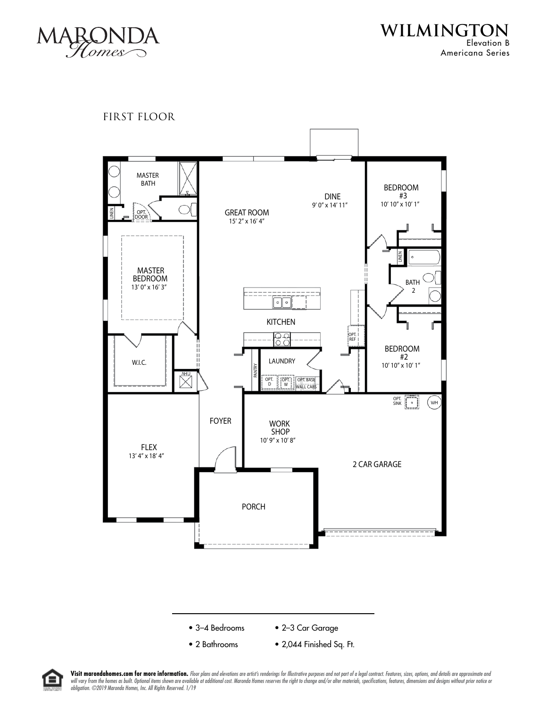

**WILMINGTON** Elevation B Americana Series

FIRST FLOOR





• 2 Bathrooms • 2,044 Finished Sq. Ft.



Visit marondahomes.com for more information. Floor plans and elevations are artist's renderings for Illustrative purposes and not part of a legal contract. Features, sizes, options, and details are approximate and will vary from the homes as built. Optional items shown are available at additional cost. Maronda Homes reserves the right to change and/or alter materials, specifications, features, dimensions and designs without prior no *obligation. ©2019 Maronda Homes, Inc. All Rights Reserved. 1/19*